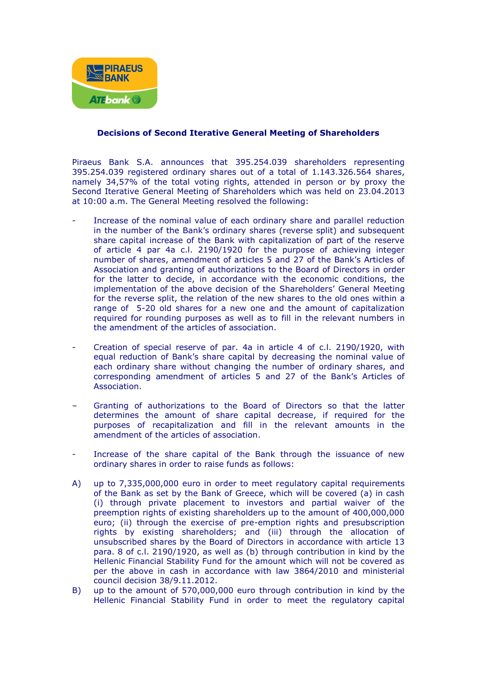

## **Decisions of Second Iterative General Meeting of Shareholders**

Piraeus Bank S.A. announces that 395.254.039 shareholders representing 395.254.039 registered ordinary shares out of a total of 1.143.326.564 shares, namely 34,57% of the total voting rights, attended in person or by proxy the Second Iterative General Meeting of Shareholders which was held on 23.04.2013 at 10:00 a.m. The General Meeting resolved the following:

- Increase of the nominal value of each ordinary share and parallel reduction in the number of the Bank's ordinary shares (reverse split) and subsequent share capital increase of the Bank with capitalization of part of the reserve of article 4 par 4a c.l. 2190/1920 for the purpose of achieving integer number of shares, amendment of articles 5 and 27 of the Bank's Articles of Association and granting of authorizations to the Board of Directors in order for the latter to decide, in accordance with the economic conditions, the implementation of the above decision of the Shareholders' General Meeting for the reverse split, the relation of the new shares to the old ones within a range of 5-20 old shares for a new one and the amount of capitalization required for rounding purposes as well as to fill in the relevant numbers in the amendment of the articles of association.
- Creation of special reserve of par. 4a in article 4 of c.l. 2190/1920, with equal reduction of Bank's share capital by decreasing the nominal value of each ordinary share without changing the number of ordinary shares, and corresponding amendment of articles 5 and 27 of the Bank's Articles of Association.
- Granting of authorizations to the Board of Directors so that the latter determines the amount of share capital decrease, if required for the purposes of recapitalization and fill in the relevant amounts in the amendment of the articles of association.
- Increase of the share capital of the Bank through the issuance of new ordinary shares in order to raise funds as follows:
- A) up to 7,335,000,000 euro in order to meet regulatory capital requirements of the Bank as set by the Bank of Greece, which will be covered (a) in cash (i) through private placement to investors and partial waiver of the preemption rights of existing shareholders up to the amount of 400,000,000 euro; (ii) through the exercise of pre-emption rights and presubscription rights by existing shareholders; and (iii) through the allocation of unsubscribed shares by the Board of Directors in accordance with article 13 para. 8 of c.l. 2190/1920, as well as (b) through contribution in kind by the Hellenic Financial Stability Fund for the amount which will not be covered as per the above in cash in accordance with law 3864/2010 and ministerial council decision 38/9.11.2012.
- B) up to the amount of 570,000,000 euro through contribution in kind by the Hellenic Financial Stability Fund in order to meet the regulatory capital